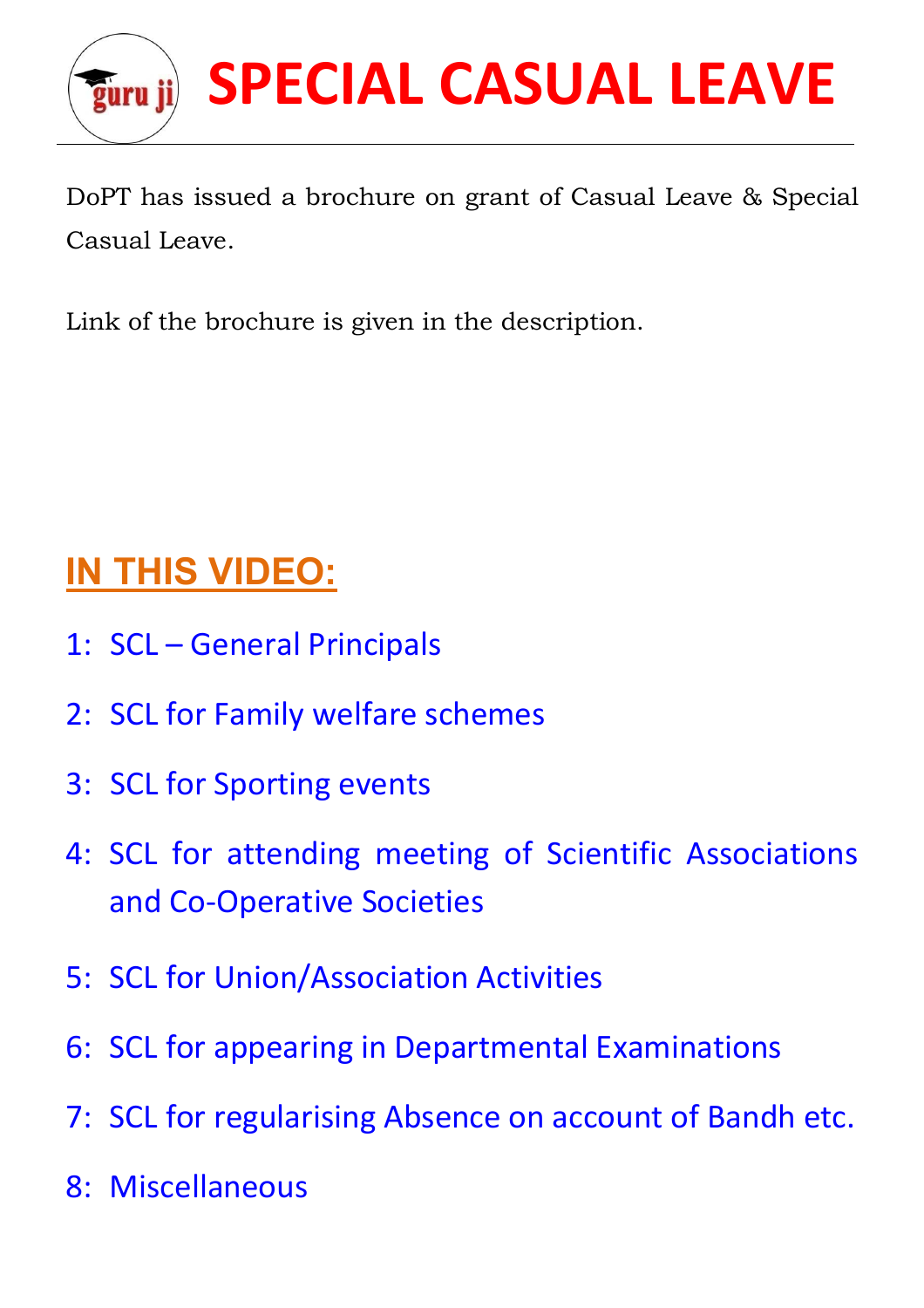

DoPT has issued a brochure on grant of Casual Leave & Special Casual Leave.

Link of the brochure is given in the description.

## **IN THIS VIDEO:**

- 1: SCL General Principals
- 2: SCL for Family welfare schemes
- 3: SCL for Sporting events
- 4: SCL for attending meeting of Scientific Associations and Co-Operative Societies
- 5: SCL for Union/Association Activities
- 6: SCL for appearing in Departmental Examinations
- 7: SCL for regularising Absence on account of Bandh etc.
- 8: Miscellaneous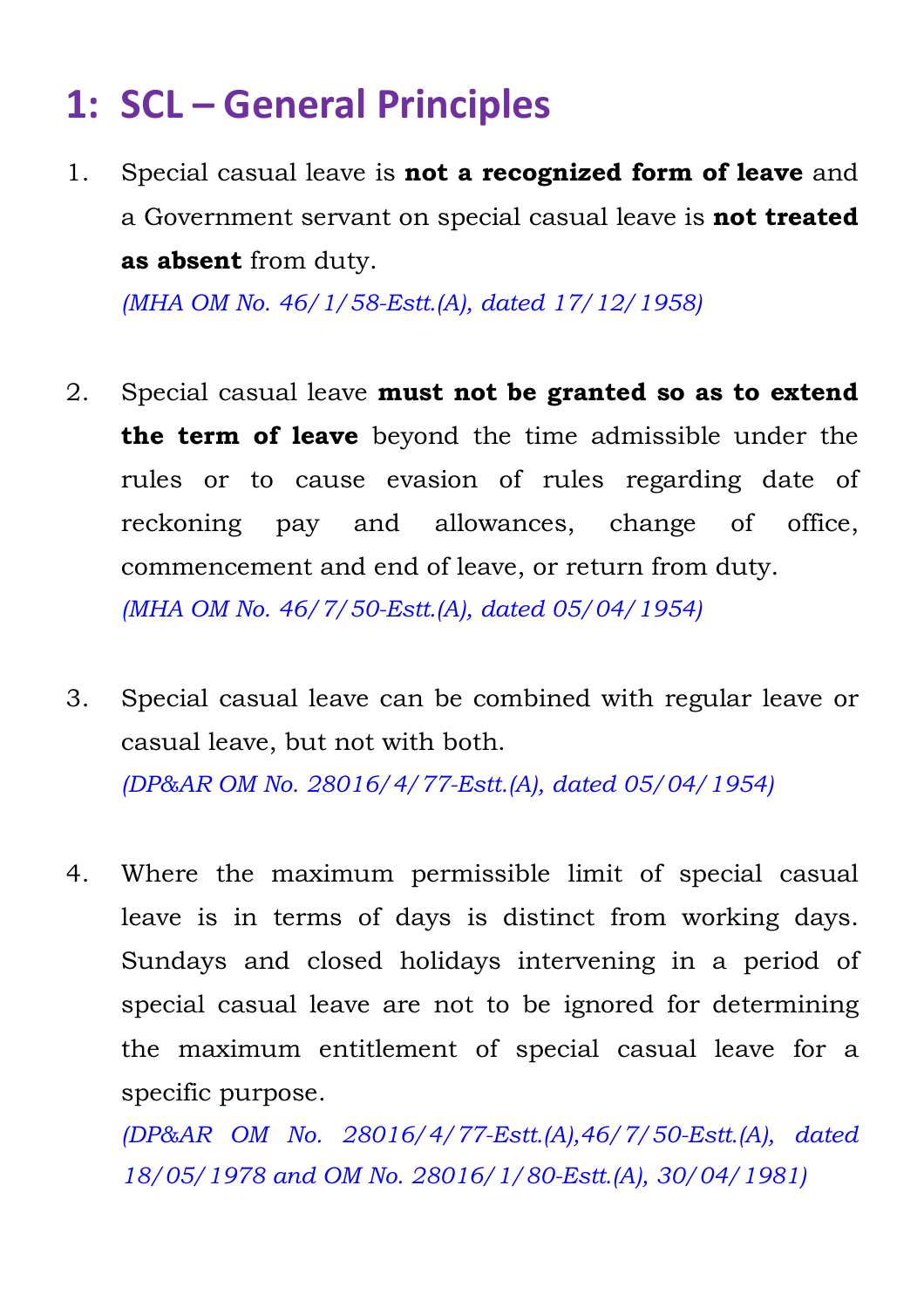### **1: SCL – General Principles**

1. Special casual leave is **not a recognized form of leave** and a Government servant on special casual leave is **not treated as absent** from duty.

*(MHA OM No. 46/1/58-Estt.(A), dated 17/12/1958)*

- 2. Special casual leave **must not be granted so as to extend the term of leave** beyond the time admissible under the rules or to cause evasion of rules regarding date of reckoning pay and allowances, change of office, commencement and end of leave, or return from duty. *(MHA OM No. 46/7/50-Estt.(A), dated 05/04/1954)*
- 3. Special casual leave can be combined with regular leave or casual leave, but not with both. *(DP&AR OM No. 28016/4/77-Estt.(A), dated 05/04/1954)*

4. Where the maximum permissible limit of special casual leave is in terms of days is distinct from working days. Sundays and closed holidays intervening in a period of special casual leave are not to be ignored for determining the maximum entitlement of special casual leave for a specific purpose.

*(DP&AR OM No. 28016/4/77-Estt.(A),46/7/50-Estt.(A), dated 18/05/1978 and OM No. 28016/1/80-Estt.(A), 30/04/1981)*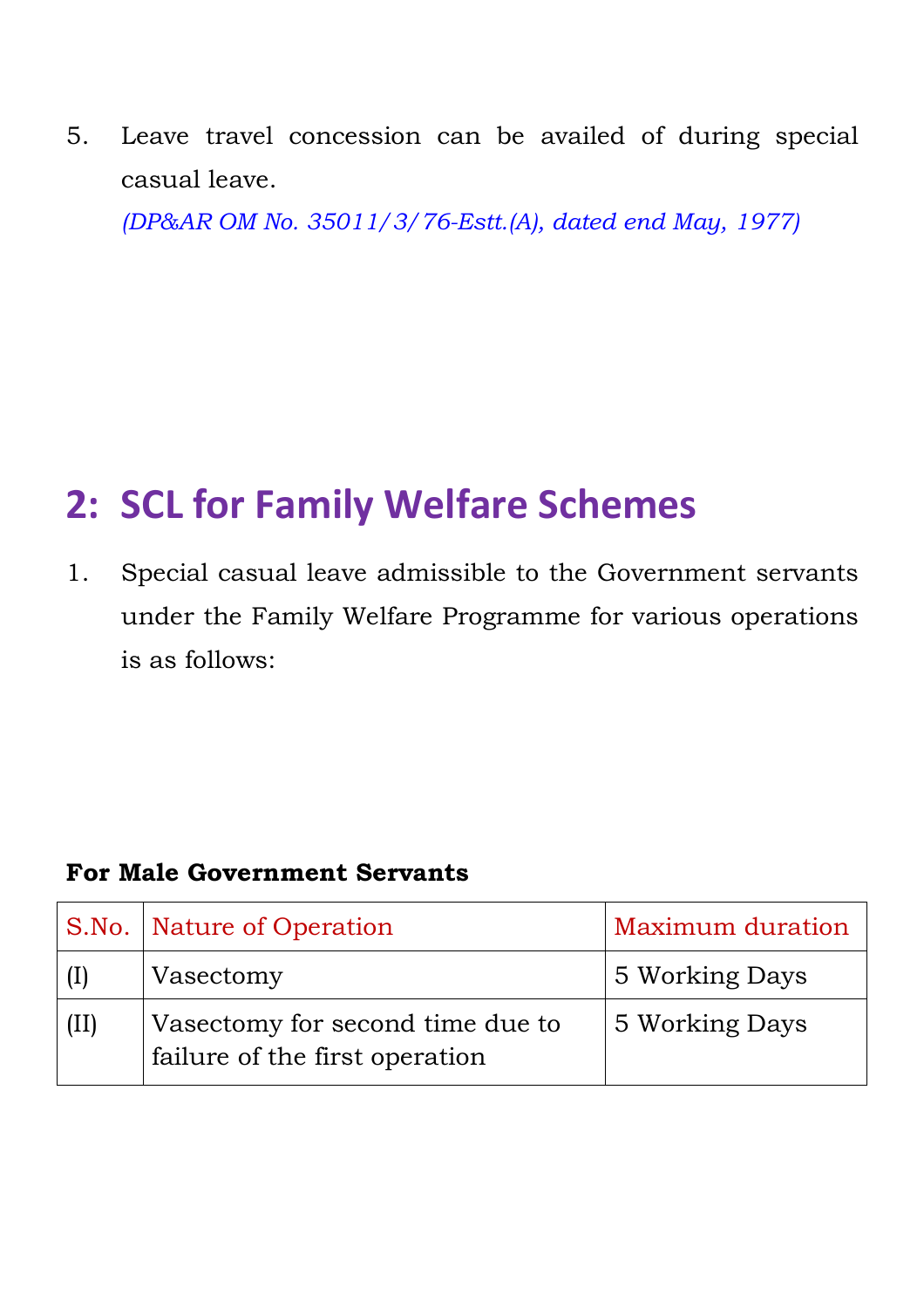5. Leave travel concession can be availed of during special casual leave.

*(DP&AR OM No. 35011/3/76-Estt.(A), dated end May, 1977)*

# **2: SCL for Family Welfare Schemes**

1. Special casual leave admissible to the Government servants under the Family Welfare Programme for various operations is as follows:

### **For Male Government Servants**

|      | S.No. Nature of Operation                                          | Maximum duration |
|------|--------------------------------------------------------------------|------------------|
| (1)  | Vasectomy                                                          | 5 Working Days   |
| (II) | Vasectomy for second time due to<br>failure of the first operation | 5 Working Days   |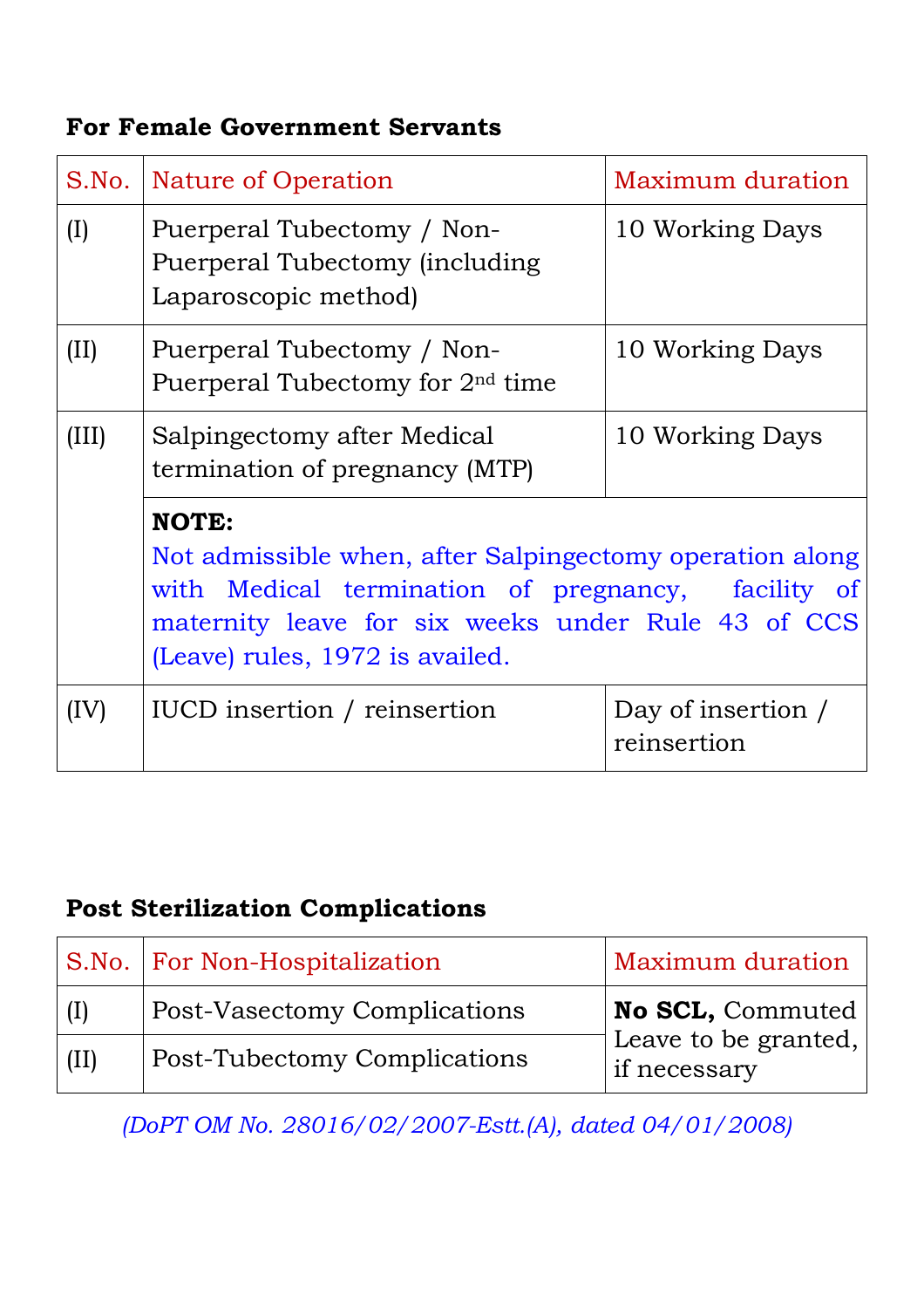#### **For Female Government Servants**

|       | S.No.   Nature of Operation                                                                                                                                                                                                | Maximum duration                  |  |
|-------|----------------------------------------------------------------------------------------------------------------------------------------------------------------------------------------------------------------------------|-----------------------------------|--|
| (I)   | Puerperal Tubectomy / Non-<br>Puerperal Tubectomy (including<br>Laparoscopic method)                                                                                                                                       | 10 Working Days                   |  |
| (II)  | Puerperal Tubectomy / Non-<br>Puerperal Tubectomy for 2 <sup>nd</sup> time                                                                                                                                                 | 10 Working Days                   |  |
| (III) | Salpingectomy after Medical<br>termination of pregnancy (MTP)                                                                                                                                                              | 10 Working Days                   |  |
|       | <b>NOTE:</b><br>Not admissible when, after Salpingectomy operation along<br>with Medical termination of pregnancy,<br>facility of<br>maternity leave for six weeks under Rule 43 of CCS<br>(Leave) rules, 1972 is availed. |                                   |  |
| (IV)  | IUCD insertion / reinsertion                                                                                                                                                                                               | Day of insertion /<br>reinsertion |  |

### **Post Sterilization Complications**

|              | <b>S.No.</b> For Non-Hospitalization | Maximum duration                     |
|--------------|--------------------------------------|--------------------------------------|
| $\vert$ (I)  | <b>Post-Vasectomy Complications</b>  | No SCL, Commuted                     |
| $\vert$ (II) | <b>Post-Tubectomy Complications</b>  | Leave to be granted,<br>if necessary |

*(DoPT OM No. 28016/02/2007-Estt.(A), dated 04/01/2008)*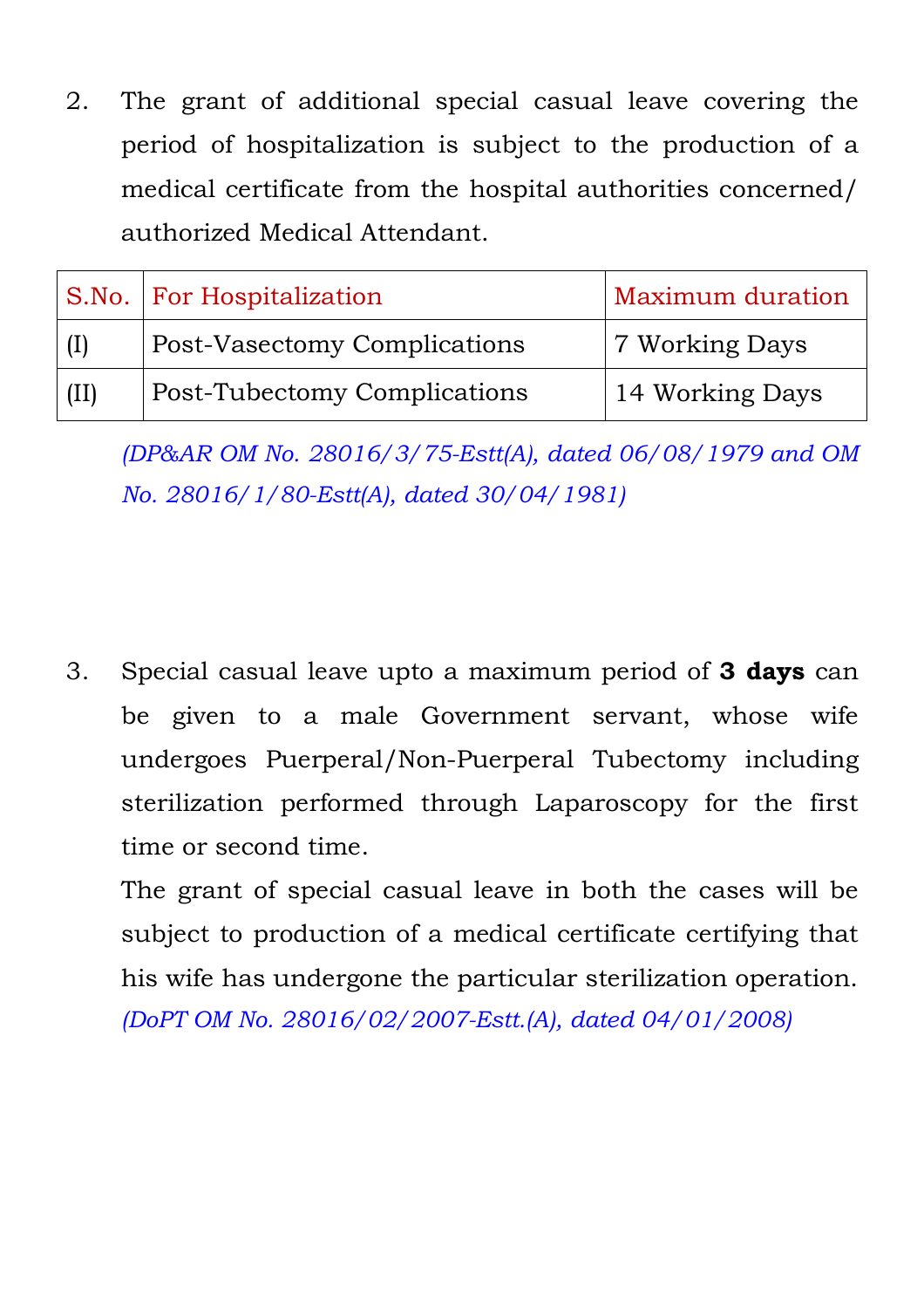2. The grant of additional special casual leave covering the period of hospitalization is subject to the production of a medical certificate from the hospital authorities concerned/ authorized Medical Attendant.

|      | S.No.   For Hospitalization         | Maximum duration |
|------|-------------------------------------|------------------|
|      | <b>Post-Vasectomy Complications</b> | 7 Working Days   |
| (II) | Post-Tubectomy Complications        | 14 Working Days  |

*(DP&AR OM No. 28016/3/75-Estt(A), dated 06/08/1979 and OM No. 28016/1/80-Estt(A), dated 30/04/1981)*

3. Special casual leave upto a maximum period of **3 days** can be given to a male Government servant, whose wife undergoes Puerperal/Non-Puerperal Tubectomy including sterilization performed through Laparoscopy for the first time or second time.

The grant of special casual leave in both the cases will be subject to production of a medical certificate certifying that his wife has undergone the particular sterilization operation. *(DoPT OM No. 28016/02/2007-Estt.(A), dated 04/01/2008)*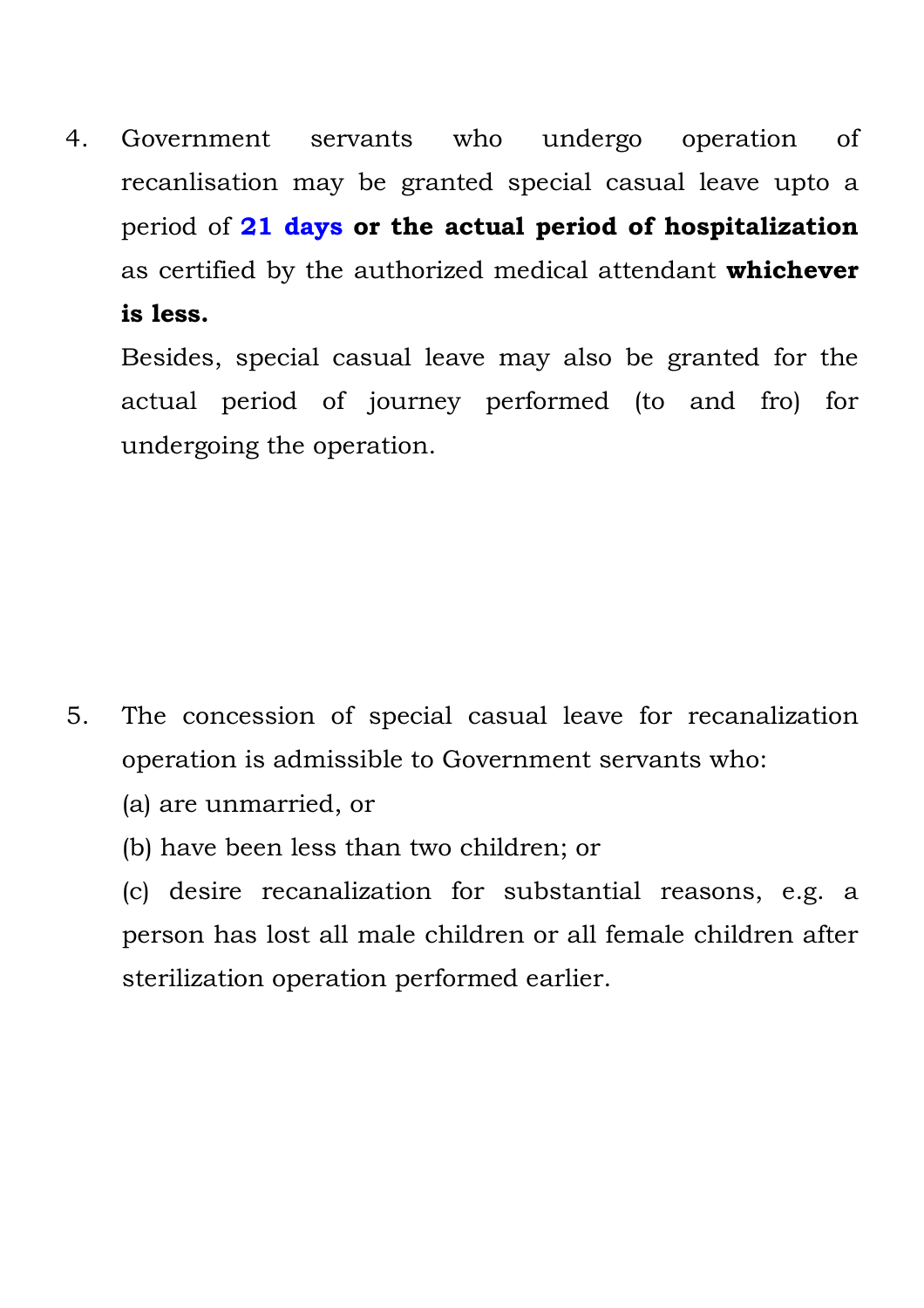4. Government servants who undergo operation of recanlisation may be granted special casual leave upto a period of **21 days or the actual period of hospitalization** as certified by the authorized medical attendant **whichever is less.**

Besides, special casual leave may also be granted for the actual period of journey performed (to and fro) for undergoing the operation.

- 5. The concession of special casual leave for recanalization operation is admissible to Government servants who:
	- (a) are unmarried, or
	- (b) have been less than two children; or
	- (c) desire recanalization for substantial reasons, e.g. a person has lost all male children or all female children after sterilization operation performed earlier.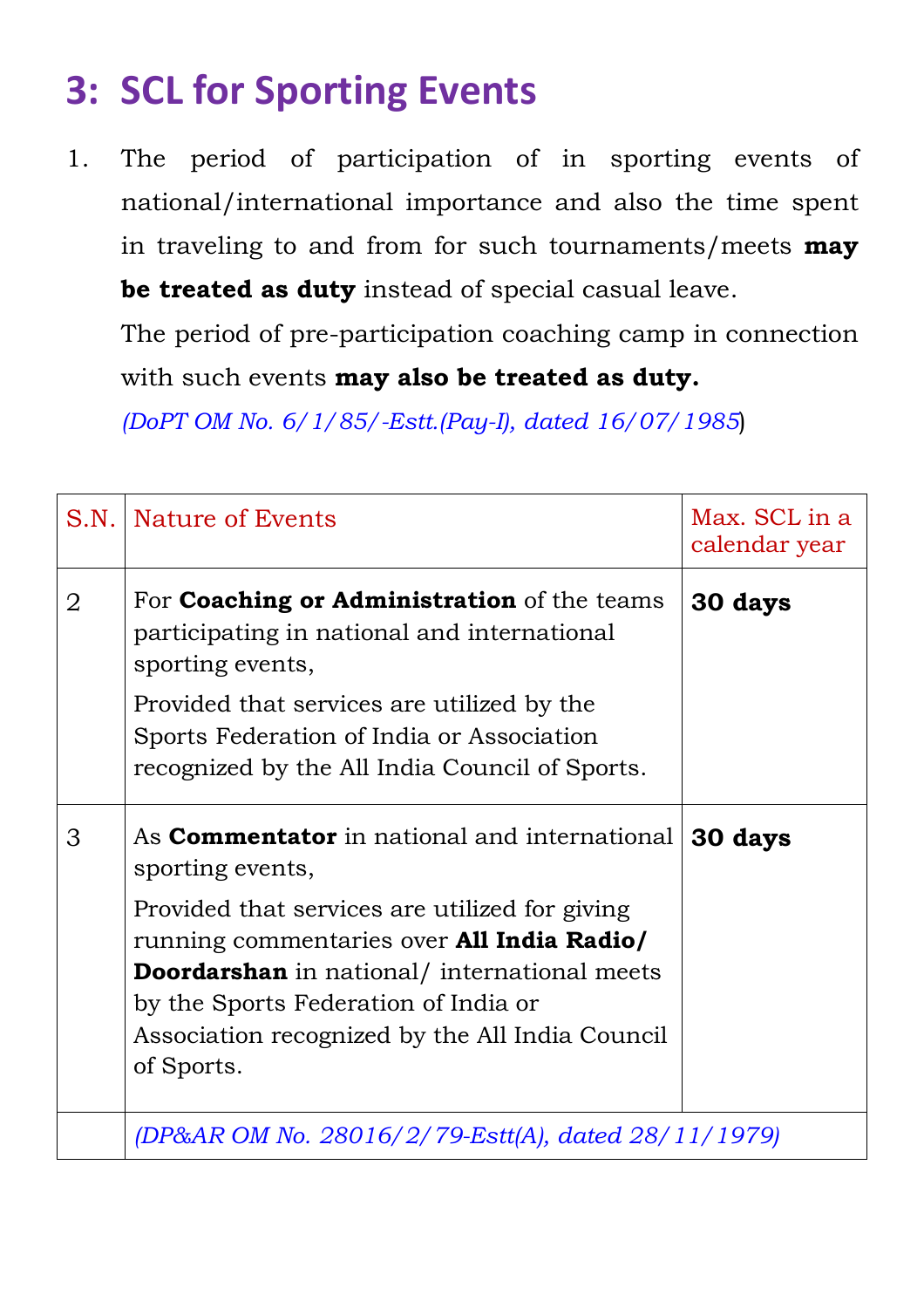# **3: SCL for Sporting Events**

1. The period of participation of in sporting events of national/international importance and also the time spent in traveling to and from for such tournaments/meets **may be treated as duty** instead of special casual leave.

The period of pre-participation coaching camp in connection with such events **may also be treated as duty.**

*(DoPT OM No. 6/1/85/-Estt.(Pay-I), dated 16/07/1985*)

| S.N.           | Nature of Events                                                                                                                                                                                                                                                    | Max. SCL in a<br>calendar year |
|----------------|---------------------------------------------------------------------------------------------------------------------------------------------------------------------------------------------------------------------------------------------------------------------|--------------------------------|
| $\overline{2}$ | For <b>Coaching or Administration</b> of the teams<br>participating in national and international<br>sporting events,                                                                                                                                               | 30 days                        |
|                | Provided that services are utilized by the<br>Sports Federation of India or Association<br>recognized by the All India Council of Sports.                                                                                                                           |                                |
| 3              | As <b>Commentator</b> in national and international<br>sporting events,                                                                                                                                                                                             | 30 days                        |
|                | Provided that services are utilized for giving<br>running commentaries over <b>All India Radio/</b><br><b>Doordarshan</b> in national/ international meets<br>by the Sports Federation of India or<br>Association recognized by the All India Council<br>of Sports. |                                |
|                | (DP&AR OM No. 28016/2/79-Estt(A), dated 28/11/1979)                                                                                                                                                                                                                 |                                |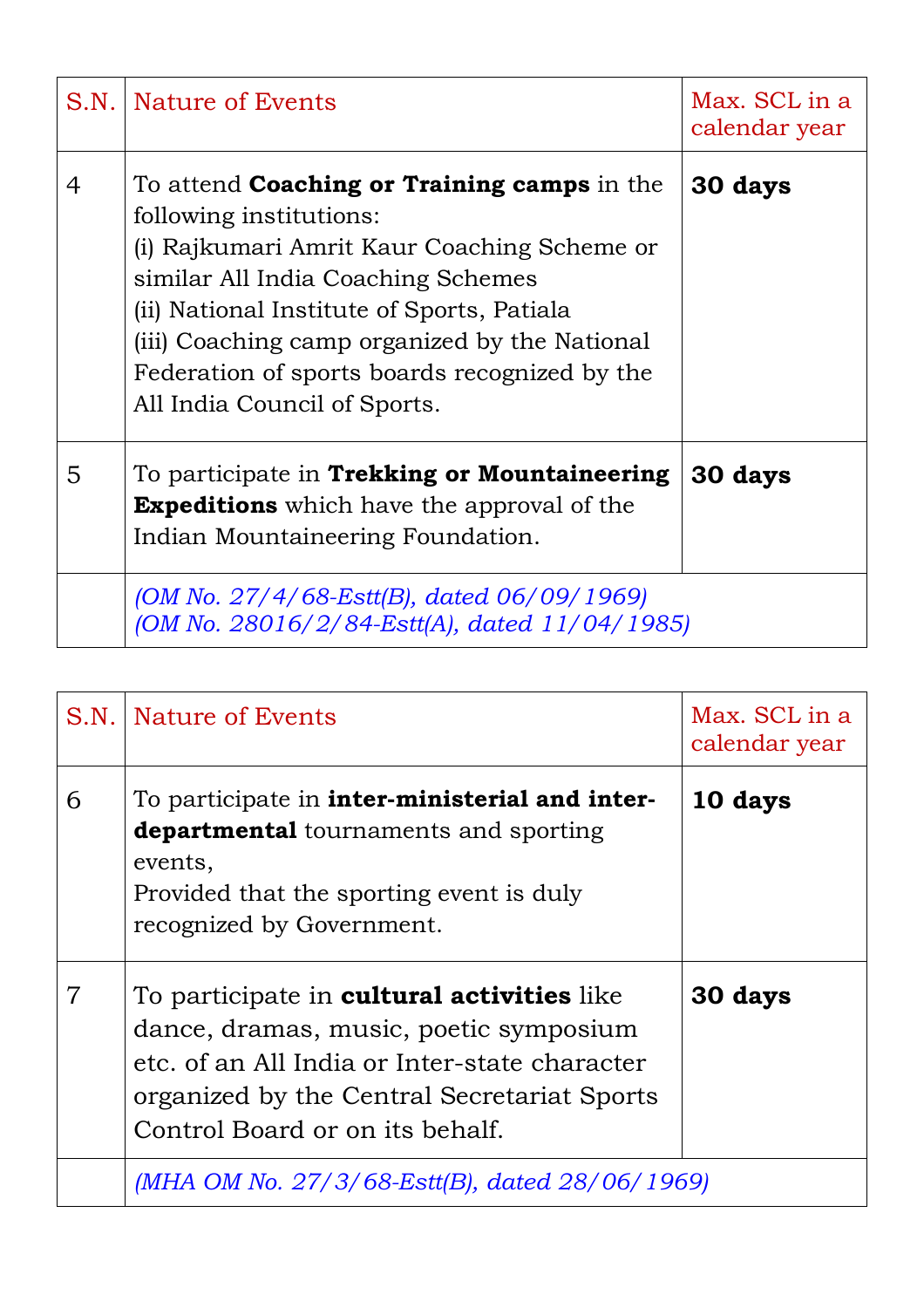| S.N. | Nature of Events                                                                                                                                                                                                                                                                                                                                   | Max. SCL in a<br>calendar year |
|------|----------------------------------------------------------------------------------------------------------------------------------------------------------------------------------------------------------------------------------------------------------------------------------------------------------------------------------------------------|--------------------------------|
| 4    | To attend <b>Coaching or Training camps</b> in the<br>following institutions:<br>(i) Rajkumari Amrit Kaur Coaching Scheme or<br>similar All India Coaching Schemes<br>(ii) National Institute of Sports, Patiala<br>(iii) Coaching camp organized by the National<br>Federation of sports boards recognized by the<br>All India Council of Sports. | 30 days                        |
| 5    | To participate in Trekking or Mountaineering<br><b>Expeditions</b> which have the approval of the<br>Indian Mountaineering Foundation.                                                                                                                                                                                                             | 30 days                        |
|      | (OM No. $27/4/68$ -Estt(B), dated 06/09/1969)<br>(OM No. 28016/2/84-Estt(A), dated 11/04/1985)                                                                                                                                                                                                                                                     |                                |

| S.N. | Nature of Events                                                                                                                                                                                                               | Max. SCL in a<br>calendar year |
|------|--------------------------------------------------------------------------------------------------------------------------------------------------------------------------------------------------------------------------------|--------------------------------|
| 6    | To participate in <b>inter-ministerial and inter-</b><br><b>departmental</b> tournaments and sporting<br>events,<br>Provided that the sporting event is duly<br>recognized by Government.                                      | 10 days                        |
|      | To participate in <b>cultural activities</b> like<br>dance, dramas, music, poetic symposium<br>etc. of an All India or Inter-state character<br>organized by the Central Secretariat Sports<br>Control Board or on its behalf. | 30 days                        |
|      | (MHA OM No. $27/3/68$ -Estt(B), dated $28/06/1969$ )                                                                                                                                                                           |                                |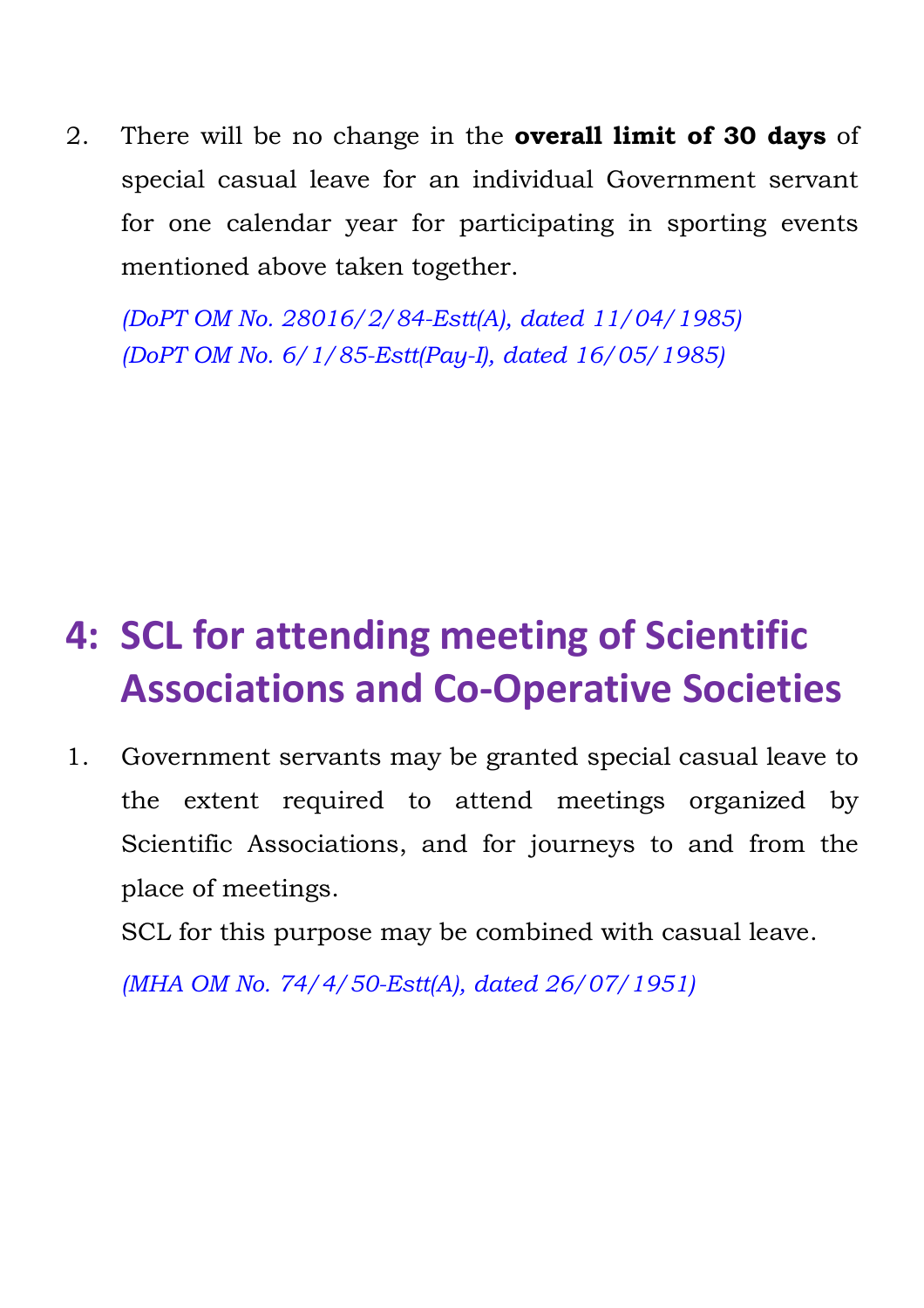2. There will be no change in the **overall limit of 30 days** of special casual leave for an individual Government servant for one calendar year for participating in sporting events mentioned above taken together.

*(DoPT OM No. 28016/2/84-Estt(A), dated 11/04/1985) (DoPT OM No. 6/1/85-Estt(Pay-I), dated 16/05/1985)*

# **4: SCL for attending meeting of Scientific Associations and Co-Operative Societies**

1. Government servants may be granted special casual leave to the extent required to attend meetings organized by Scientific Associations, and for journeys to and from the place of meetings.

SCL for this purpose may be combined with casual leave.

*(MHA OM No. 74/4/50-Estt(A), dated 26/07/1951)*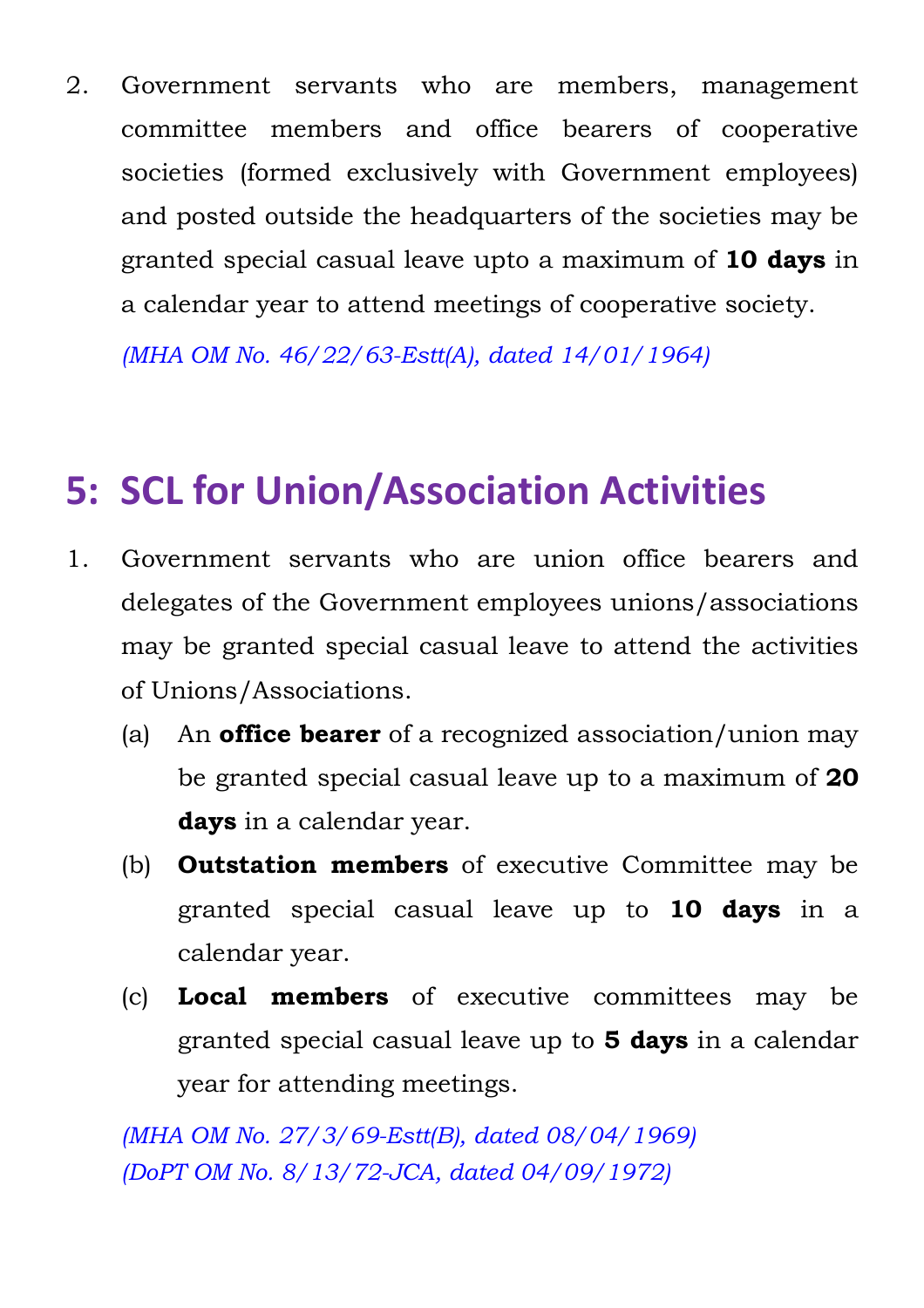2. Government servants who are members, management committee members and office bearers of cooperative societies (formed exclusively with Government employees) and posted outside the headquarters of the societies may be granted special casual leave upto a maximum of **10 days** in a calendar year to attend meetings of cooperative society.

*(MHA OM No. 46/22/63-Estt(A), dated 14/01/1964)*

## **5: SCL for Union/Association Activities**

- 1. Government servants who are union office bearers and delegates of the Government employees unions/associations may be granted special casual leave to attend the activities of Unions/Associations.
	- (a) An **office bearer** of a recognized association/union may be granted special casual leave up to a maximum of **20 days** in a calendar year.
	- (b) **Outstation members** of executive Committee may be granted special casual leave up to **10 days** in a calendar year.
	- (c) **Local members** of executive committees may be granted special casual leave up to **5 days** in a calendar year for attending meetings.

*(MHA OM No. 27/3/69-Estt(B), dated 08/04/1969) (DoPT OM No. 8/13/72-JCA, dated 04/09/1972)*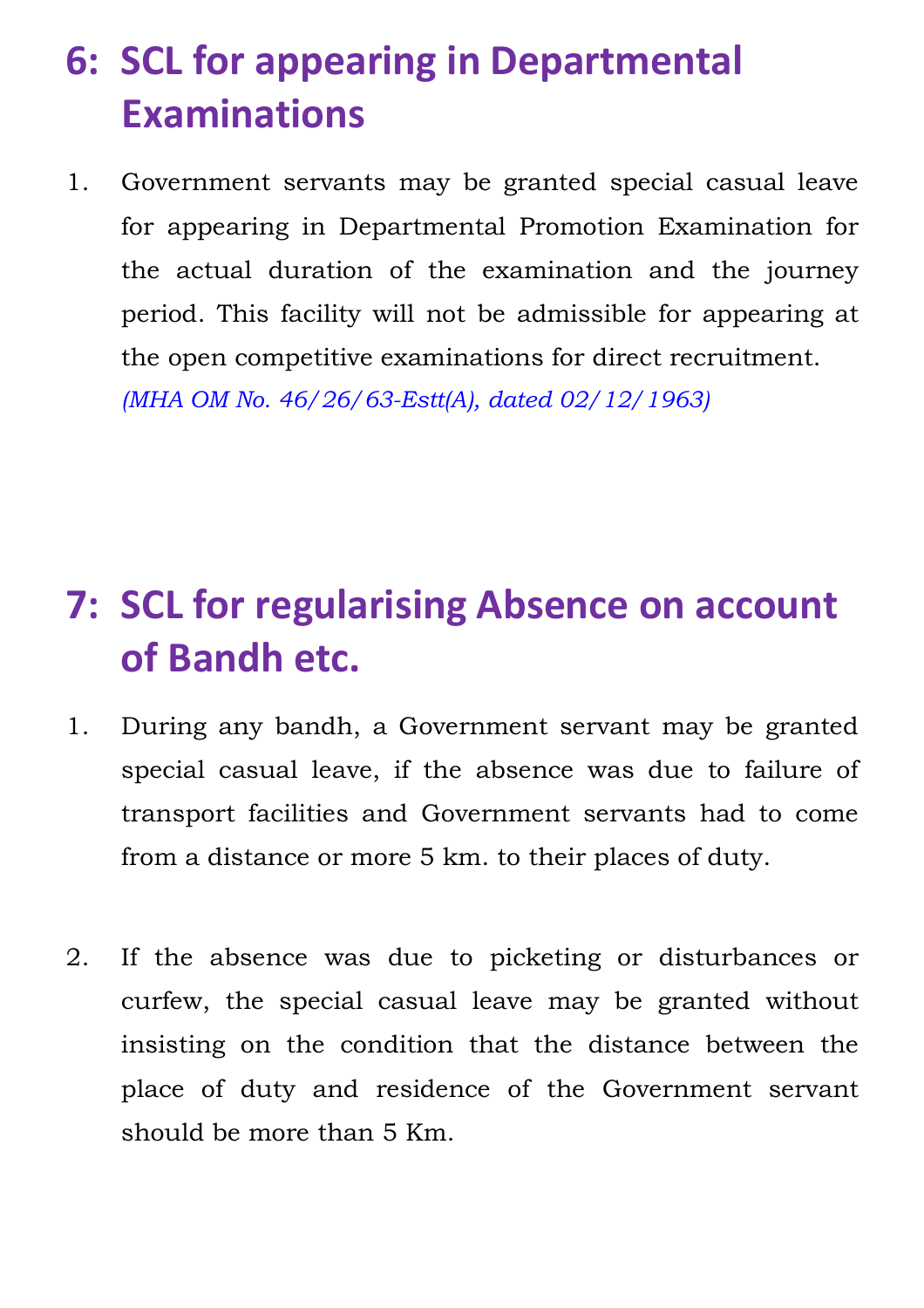# **6: SCL for appearing in Departmental Examinations**

1. Government servants may be granted special casual leave for appearing in Departmental Promotion Examination for the actual duration of the examination and the journey period. This facility will not be admissible for appearing at the open competitive examinations for direct recruitment. *(MHA OM No. 46/26/63-Estt(A), dated 02/12/1963)*

## **7: SCL for regularising Absence on account of Bandh etc.**

- 1. During any bandh, a Government servant may be granted special casual leave, if the absence was due to failure of transport facilities and Government servants had to come from a distance or more 5 km. to their places of duty.
- 2. If the absence was due to picketing or disturbances or curfew, the special casual leave may be granted without insisting on the condition that the distance between the place of duty and residence of the Government servant should be more than 5 Km.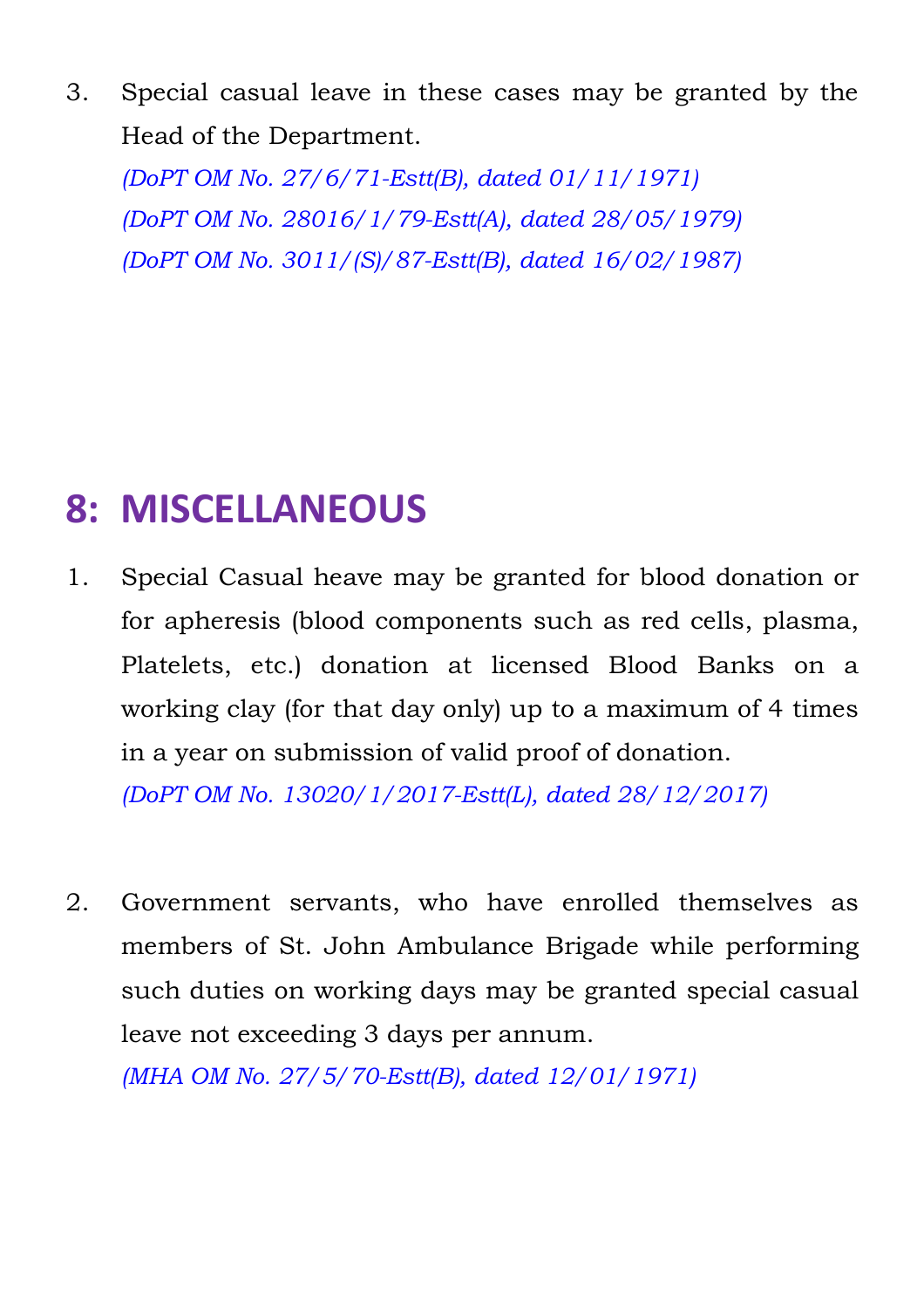3. Special casual leave in these cases may be granted by the Head of the Department.

*(DoPT OM No. 27/6/71-Estt(B), dated 01/11/1971) (DoPT OM No. 28016/1/79-Estt(A), dated 28/05/1979) (DoPT OM No. 3011/(S)/87-Estt(B), dated 16/02/1987)*

## **8: MISCELLANEOUS**

- 1. Special Casual heave may be granted for blood donation or for apheresis (blood components such as red cells, plasma, Platelets, etc.) donation at licensed Blood Banks on a working clay (for that day only) up to a maximum of 4 times in a year on submission of valid proof of donation. *(DoPT OM No. 13020/1/2017-Estt(L), dated 28/12/2017)*
- 2. Government servants, who have enrolled themselves as members of St. John Ambulance Brigade while performing such duties on working days may be granted special casual leave not exceeding 3 days per annum. *(MHA OM No. 27/5/70-Estt(B), dated 12/01/1971)*